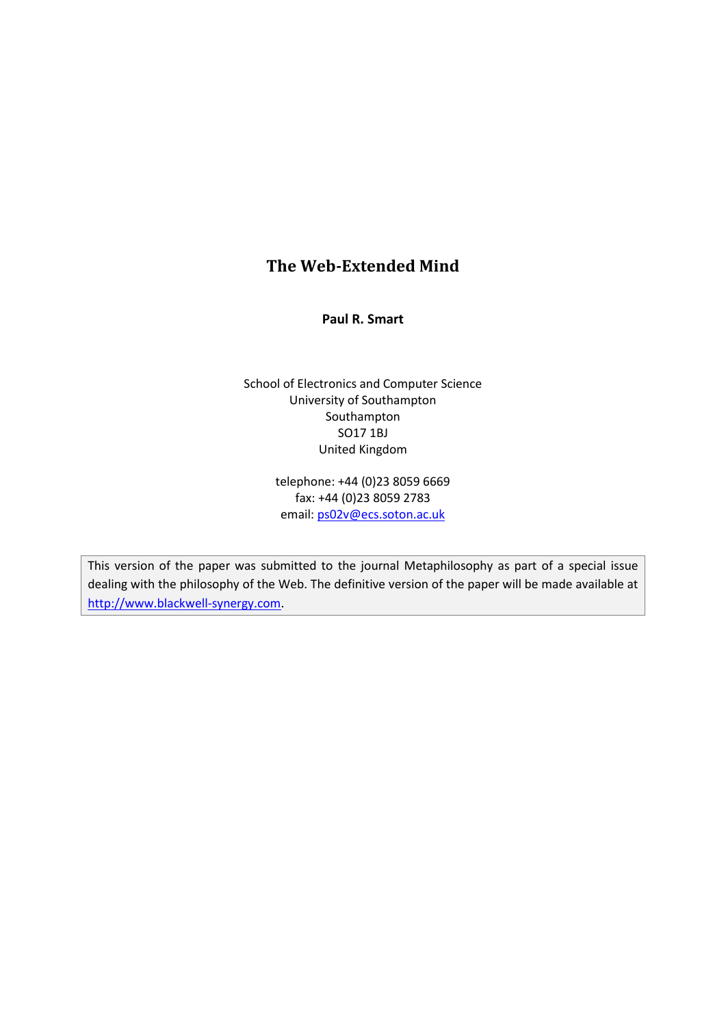# **The Web-Extended Mind**

**Paul R. Smart**

School of Electronics and Computer Science University of Southampton Southampton SO17 1BJ United Kingdom

> telephone: +44 (0)23 8059 6669 fax: +44 (0)23 8059 2783 email: [ps02v@ecs.soton.ac.uk](mailto:ps02v@ecs.soton.ac.uk)

This version of the paper was submitted to the journal Metaphilosophy as part of a special issue dealing with the philosophy of the Web. The definitive version of the paper will be made available at [http://www.blackwell-synergy.com.](http://www.blackwell-synergy.com/)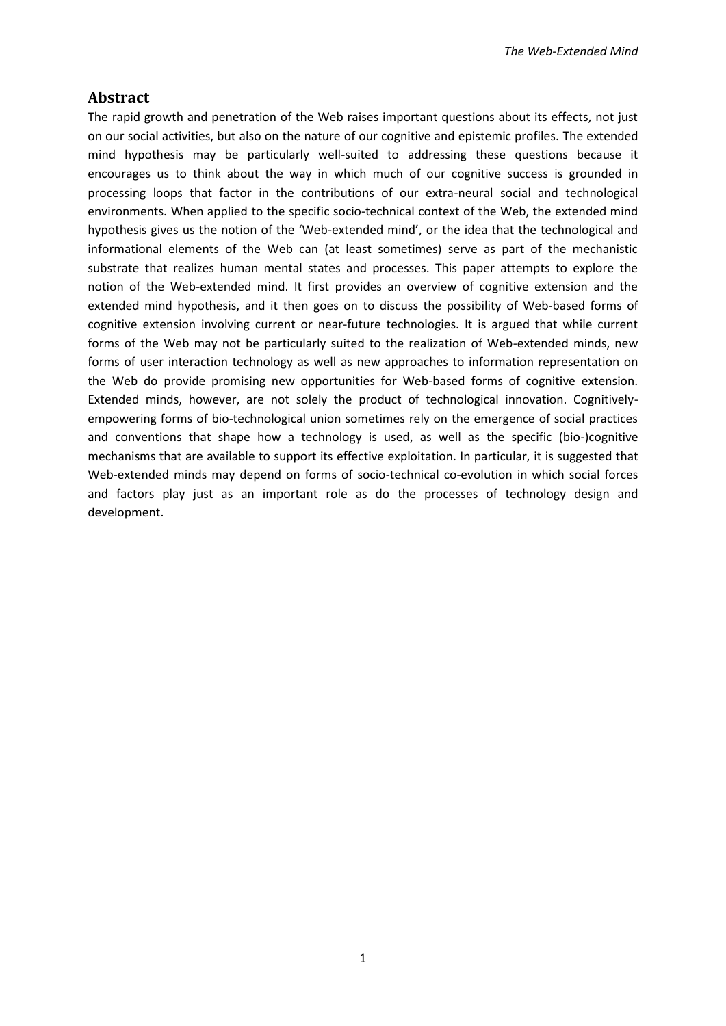### **Abstract**

The rapid growth and penetration of the Web raises important questions about its effects, not just on our social activities, but also on the nature of our cognitive and epistemic profiles. The extended mind hypothesis may be particularly well-suited to addressing these questions because it encourages us to think about the way in which much of our cognitive success is grounded in processing loops that factor in the contributions of our extra-neural social and technological environments. When applied to the specific socio-technical context of the Web, the extended mind hypothesis gives us the notion of the 'Web-extended mind', or the idea that the technological and informational elements of the Web can (at least sometimes) serve as part of the mechanistic substrate that realizes human mental states and processes. This paper attempts to explore the notion of the Web-extended mind. It first provides an overview of cognitive extension and the extended mind hypothesis, and it then goes on to discuss the possibility of Web-based forms of cognitive extension involving current or near-future technologies. It is argued that while current forms of the Web may not be particularly suited to the realization of Web-extended minds, new forms of user interaction technology as well as new approaches to information representation on the Web do provide promising new opportunities for Web-based forms of cognitive extension. Extended minds, however, are not solely the product of technological innovation. Cognitivelyempowering forms of bio-technological union sometimes rely on the emergence of social practices and conventions that shape how a technology is used, as well as the specific (bio-)cognitive mechanisms that are available to support its effective exploitation. In particular, it is suggested that Web-extended minds may depend on forms of socio-technical co-evolution in which social forces and factors play just as an important role as do the processes of technology design and development.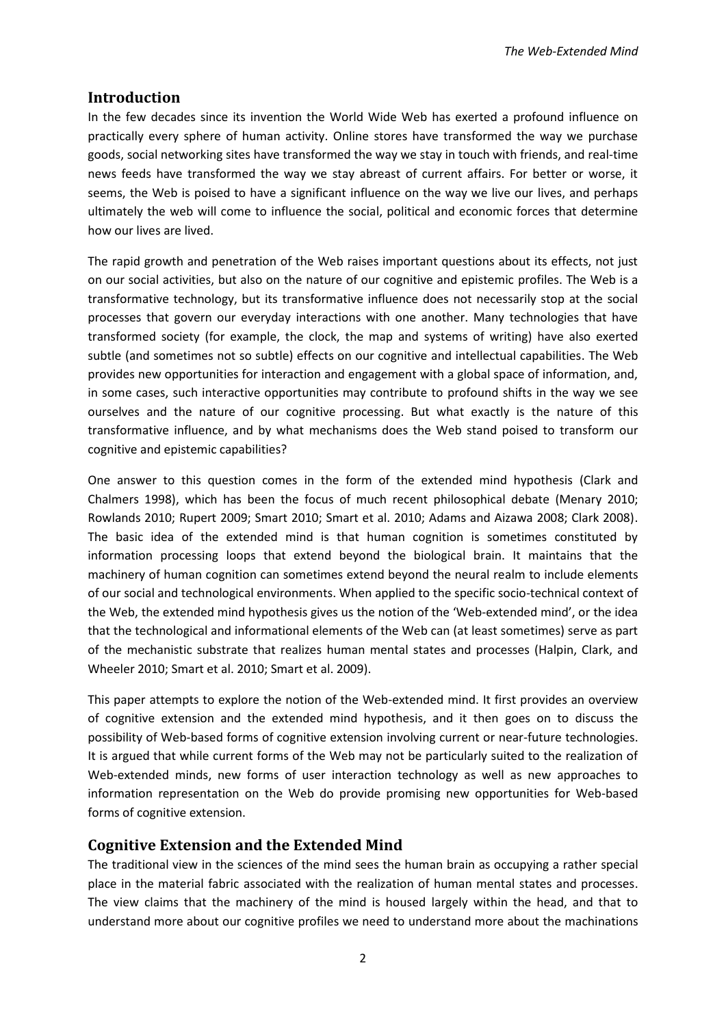## **Introduction**

In the few decades since its invention the World Wide Web has exerted a profound influence on practically every sphere of human activity. Online stores have transformed the way we purchase goods, social networking sites have transformed the way we stay in touch with friends, and real-time news feeds have transformed the way we stay abreast of current affairs. For better or worse, it seems, the Web is poised to have a significant influence on the way we live our lives, and perhaps ultimately the web will come to influence the social, political and economic forces that determine how our lives are lived.

The rapid growth and penetration of the Web raises important questions about its effects, not just on our social activities, but also on the nature of our cognitive and epistemic profiles. The Web is a transformative technology, but its transformative influence does not necessarily stop at the social processes that govern our everyday interactions with one another. Many technologies that have transformed society (for example, the clock, the map and systems of writing) have also exerted subtle (and sometimes not so subtle) effects on our cognitive and intellectual capabilities. The Web provides new opportunities for interaction and engagement with a global space of information, and, in some cases, such interactive opportunities may contribute to profound shifts in the way we see ourselves and the nature of our cognitive processing. But what exactly is the nature of this transformative influence, and by what mechanisms does the Web stand poised to transform our cognitive and epistemic capabilities?

One answer to this question comes in the form of the extended mind hypothesis (Clark and Chalmers 1998), which has been the focus of much recent philosophical debate (Menary 2010; Rowlands 2010; Rupert 2009; Smart 2010; Smart et al. 2010; Adams and Aizawa 2008; Clark 2008). The basic idea of the extended mind is that human cognition is sometimes constituted by information processing loops that extend beyond the biological brain. It maintains that the machinery of human cognition can sometimes extend beyond the neural realm to include elements of our social and technological environments. When applied to the specific socio-technical context of the Web, the extended mind hypothesis gives us the notion of the 'Web-extended mind', or the idea that the technological and informational elements of the Web can (at least sometimes) serve as part of the mechanistic substrate that realizes human mental states and processes (Halpin, Clark, and Wheeler 2010; Smart et al. 2010; Smart et al. 2009).

This paper attempts to explore the notion of the Web-extended mind. It first provides an overview of cognitive extension and the extended mind hypothesis, and it then goes on to discuss the possibility of Web-based forms of cognitive extension involving current or near-future technologies. It is argued that while current forms of the Web may not be particularly suited to the realization of Web-extended minds, new forms of user interaction technology as well as new approaches to information representation on the Web do provide promising new opportunities for Web-based forms of cognitive extension.

## **Cognitive Extension and the Extended Mind**

The traditional view in the sciences of the mind sees the human brain as occupying a rather special place in the material fabric associated with the realization of human mental states and processes. The view claims that the machinery of the mind is housed largely within the head, and that to understand more about our cognitive profiles we need to understand more about the machinations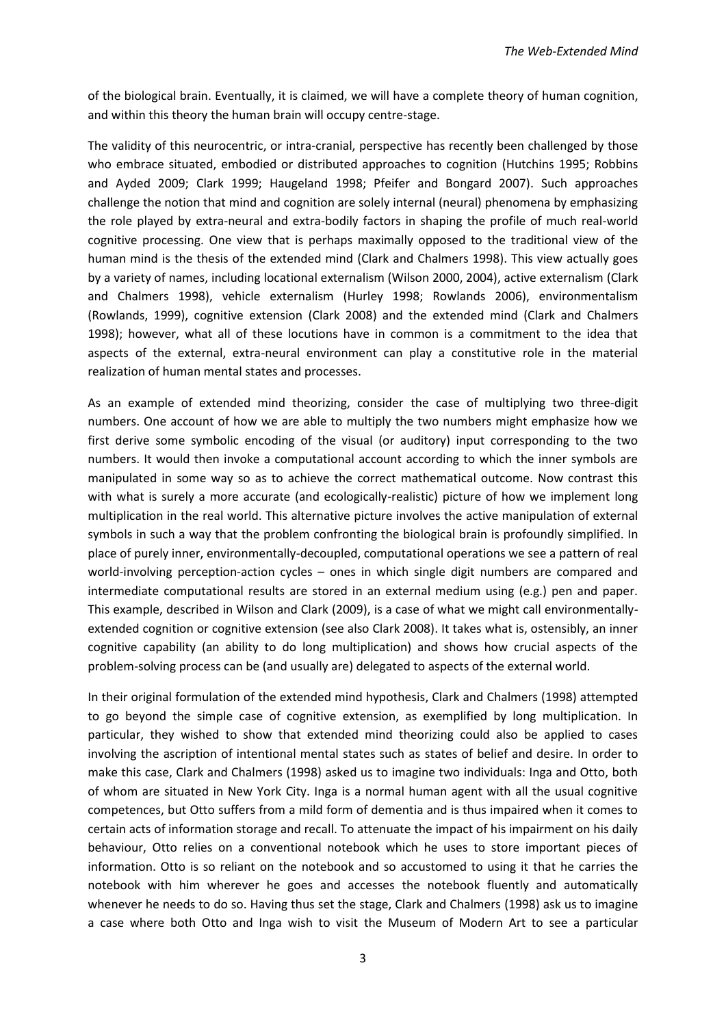of the biological brain. Eventually, it is claimed, we will have a complete theory of human cognition, and within this theory the human brain will occupy centre-stage.

The validity of this neurocentric, or intra-cranial, perspective has recently been challenged by those who embrace situated, embodied or distributed approaches to cognition (Hutchins 1995; Robbins and Ayded 2009; Clark 1999; Haugeland 1998; Pfeifer and Bongard 2007). Such approaches challenge the notion that mind and cognition are solely internal (neural) phenomena by emphasizing the role played by extra-neural and extra-bodily factors in shaping the profile of much real-world cognitive processing. One view that is perhaps maximally opposed to the traditional view of the human mind is the thesis of the extended mind (Clark and Chalmers 1998). This view actually goes by a variety of names, including locational externalism (Wilson 2000, 2004), active externalism (Clark and Chalmers 1998), vehicle externalism (Hurley 1998; Rowlands 2006), environmentalism (Rowlands, 1999), cognitive extension (Clark 2008) and the extended mind (Clark and Chalmers 1998); however, what all of these locutions have in common is a commitment to the idea that aspects of the external, extra-neural environment can play a constitutive role in the material realization of human mental states and processes.

As an example of extended mind theorizing, consider the case of multiplying two three-digit numbers. One account of how we are able to multiply the two numbers might emphasize how we first derive some symbolic encoding of the visual (or auditory) input corresponding to the two numbers. It would then invoke a computational account according to which the inner symbols are manipulated in some way so as to achieve the correct mathematical outcome. Now contrast this with what is surely a more accurate (and ecologically-realistic) picture of how we implement long multiplication in the real world. This alternative picture involves the active manipulation of external symbols in such a way that the problem confronting the biological brain is profoundly simplified. In place of purely inner, environmentally-decoupled, computational operations we see a pattern of real world-involving perception-action cycles – ones in which single digit numbers are compared and intermediate computational results are stored in an external medium using (e.g.) pen and paper. This example, described in Wilson and Clark (2009), is a case of what we might call environmentallyextended cognition or cognitive extension (see also Clark 2008). It takes what is, ostensibly, an inner cognitive capability (an ability to do long multiplication) and shows how crucial aspects of the problem-solving process can be (and usually are) delegated to aspects of the external world.

In their original formulation of the extended mind hypothesis, Clark and Chalmers (1998) attempted to go beyond the simple case of cognitive extension, as exemplified by long multiplication. In particular, they wished to show that extended mind theorizing could also be applied to cases involving the ascription of intentional mental states such as states of belief and desire. In order to make this case, Clark and Chalmers (1998) asked us to imagine two individuals: Inga and Otto, both of whom are situated in New York City. Inga is a normal human agent with all the usual cognitive competences, but Otto suffers from a mild form of dementia and is thus impaired when it comes to certain acts of information storage and recall. To attenuate the impact of his impairment on his daily behaviour, Otto relies on a conventional notebook which he uses to store important pieces of information. Otto is so reliant on the notebook and so accustomed to using it that he carries the notebook with him wherever he goes and accesses the notebook fluently and automatically whenever he needs to do so. Having thus set the stage, Clark and Chalmers (1998) ask us to imagine a case where both Otto and Inga wish to visit the Museum of Modern Art to see a particular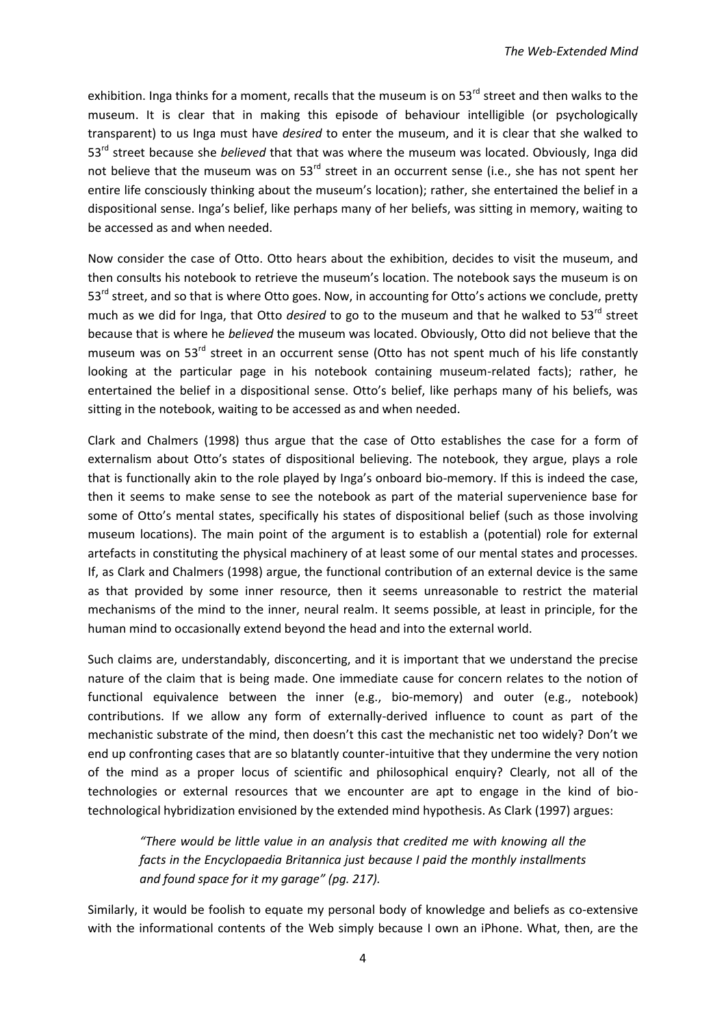exhibition. Inga thinks for a moment, recalls that the museum is on 53<sup>rd</sup> street and then walks to the museum. It is clear that in making this episode of behaviour intelligible (or psychologically transparent) to us Inga must have *desired* to enter the museum, and it is clear that she walked to 53rd street because she *believed* that that was where the museum was located. Obviously, Inga did not believe that the museum was on 53<sup>rd</sup> street in an occurrent sense (i.e., she has not spent her entire life consciously thinking about the museum's location); rather, she entertained the belief in a dispositional sense. Inga's belief, like perhaps many of her beliefs, was sitting in memory, waiting to be accessed as and when needed.

Now consider the case of Otto. Otto hears about the exhibition, decides to visit the museum, and then consults his notebook to retrieve the museum's location. The notebook says the museum is on 53<sup>rd</sup> street, and so that is where Otto goes. Now, in accounting for Otto's actions we conclude, pretty much as we did for Inga, that Otto *desired* to go to the museum and that he walked to 53<sup>rd</sup> street because that is where he *believed* the museum was located. Obviously, Otto did not believe that the museum was on 53<sup>rd</sup> street in an occurrent sense (Otto has not spent much of his life constantly looking at the particular page in his notebook containing museum-related facts); rather, he entertained the belief in a dispositional sense. Otto's belief, like perhaps many of his beliefs, was sitting in the notebook, waiting to be accessed as and when needed.

Clark and Chalmers (1998) thus argue that the case of Otto establishes the case for a form of externalism about Otto's states of dispositional believing. The notebook, they argue, plays a role that is functionally akin to the role played by Inga's onboard bio-memory. If this is indeed the case, then it seems to make sense to see the notebook as part of the material supervenience base for some of Otto's mental states, specifically his states of dispositional belief (such as those involving museum locations). The main point of the argument is to establish a (potential) role for external artefacts in constituting the physical machinery of at least some of our mental states and processes. If, as Clark and Chalmers (1998) argue, the functional contribution of an external device is the same as that provided by some inner resource, then it seems unreasonable to restrict the material mechanisms of the mind to the inner, neural realm. It seems possible, at least in principle, for the human mind to occasionally extend beyond the head and into the external world.

Such claims are, understandably, disconcerting, and it is important that we understand the precise nature of the claim that is being made. One immediate cause for concern relates to the notion of functional equivalence between the inner (e.g., bio-memory) and outer (e.g., notebook) contributions. If we allow any form of externally-derived influence to count as part of the mechanistic substrate of the mind, then doesn't this cast the mechanistic net too widely? Don't we end up confronting cases that are so blatantly counter-intuitive that they undermine the very notion of the mind as a proper locus of scientific and philosophical enquiry? Clearly, not all of the technologies or external resources that we encounter are apt to engage in the kind of biotechnological hybridization envisioned by the extended mind hypothesis. As Clark (1997) argues:

*"There would be little value in an analysis that credited me with knowing all the facts in the Encyclopaedia Britannica just because I paid the monthly installments and found space for it my garage" (pg. 217).* 

Similarly, it would be foolish to equate my personal body of knowledge and beliefs as co-extensive with the informational contents of the Web simply because I own an iPhone. What, then, are the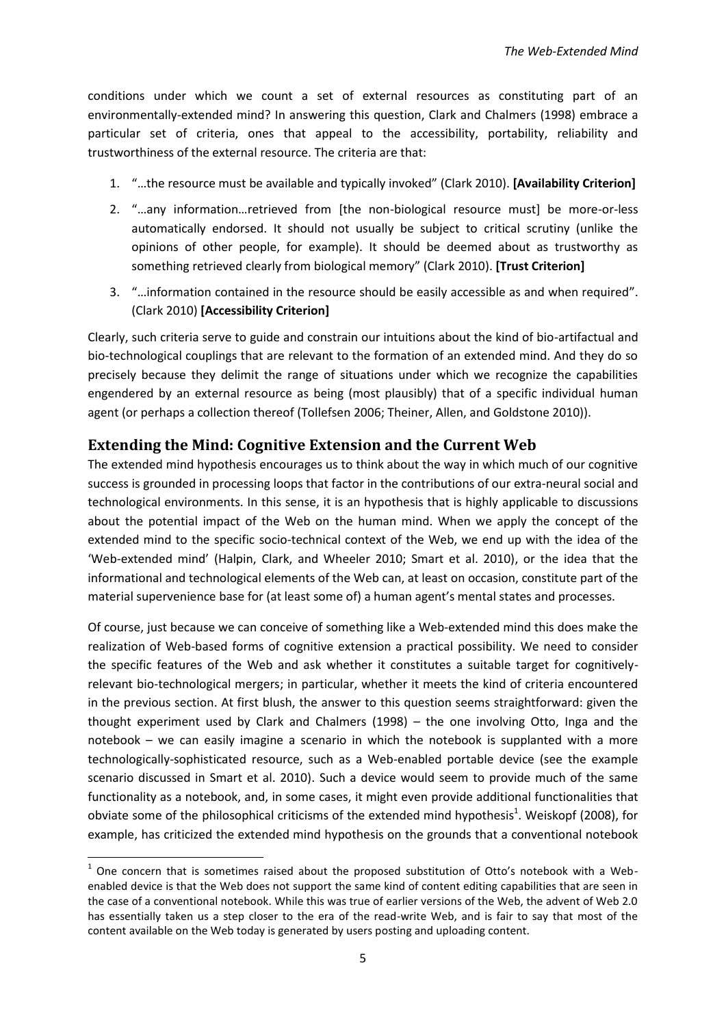conditions under which we count a set of external resources as constituting part of an environmentally-extended mind? In answering this question, Clark and Chalmers (1998) embrace a particular set of criteria, ones that appeal to the accessibility, portability, reliability and trustworthiness of the external resource. The criteria are that:

- 1. "…the resource must be available and typically invoked" (Clark 2010). **[Availability Criterion]**
- 2. "...any information...retrieved from [the non-biological resource must] be more-or-less automatically endorsed. It should not usually be subject to critical scrutiny (unlike the opinions of other people, for example). It should be deemed about as trustworthy as something retrieved clearly from biological memory" (Clark 2010). **[Trust Criterion]**
- 3. "…information contained in the resource should be easily accessible as and when required". (Clark 2010) **[Accessibility Criterion]**

Clearly, such criteria serve to guide and constrain our intuitions about the kind of bio-artifactual and bio-technological couplings that are relevant to the formation of an extended mind. And they do so precisely because they delimit the range of situations under which we recognize the capabilities engendered by an external resource as being (most plausibly) that of a specific individual human agent (or perhaps a collection thereof (Tollefsen 2006; Theiner, Allen, and Goldstone 2010)).

## **Extending the Mind: Cognitive Extension and the Current Web**

The extended mind hypothesis encourages us to think about the way in which much of our cognitive success is grounded in processing loops that factor in the contributions of our extra-neural social and technological environments. In this sense, it is an hypothesis that is highly applicable to discussions about the potential impact of the Web on the human mind. When we apply the concept of the extended mind to the specific socio-technical context of the Web, we end up with the idea of the 'Web-extended mind' (Halpin, Clark, and Wheeler 2010; Smart et al. 2010), or the idea that the informational and technological elements of the Web can, at least on occasion, constitute part of the material supervenience base for (at least some of) a human agent's mental states and processes.

Of course, just because we can conceive of something like a Web-extended mind this does make the realization of Web-based forms of cognitive extension a practical possibility. We need to consider the specific features of the Web and ask whether it constitutes a suitable target for cognitivelyrelevant bio-technological mergers; in particular, whether it meets the kind of criteria encountered in the previous section. At first blush, the answer to this question seems straightforward: given the thought experiment used by Clark and Chalmers (1998) – the one involving Otto, Inga and the notebook – we can easily imagine a scenario in which the notebook is supplanted with a more technologically-sophisticated resource, such as a Web-enabled portable device (see the example scenario discussed in Smart et al. 2010). Such a device would seem to provide much of the same functionality as a notebook, and, in some cases, it might even provide additional functionalities that obviate some of the philosophical criticisms of the extended mind hypothesis<sup>1</sup>. Weiskopf (2008), for example, has criticized the extended mind hypothesis on the grounds that a conventional notebook

 $\overline{a}$ 

 $<sup>1</sup>$  One concern that is sometimes raised about the proposed substitution of Otto's notebook with a Web-</sup> enabled device is that the Web does not support the same kind of content editing capabilities that are seen in the case of a conventional notebook. While this was true of earlier versions of the Web, the advent of Web 2.0 has essentially taken us a step closer to the era of the read-write Web, and is fair to say that most of the content available on the Web today is generated by users posting and uploading content.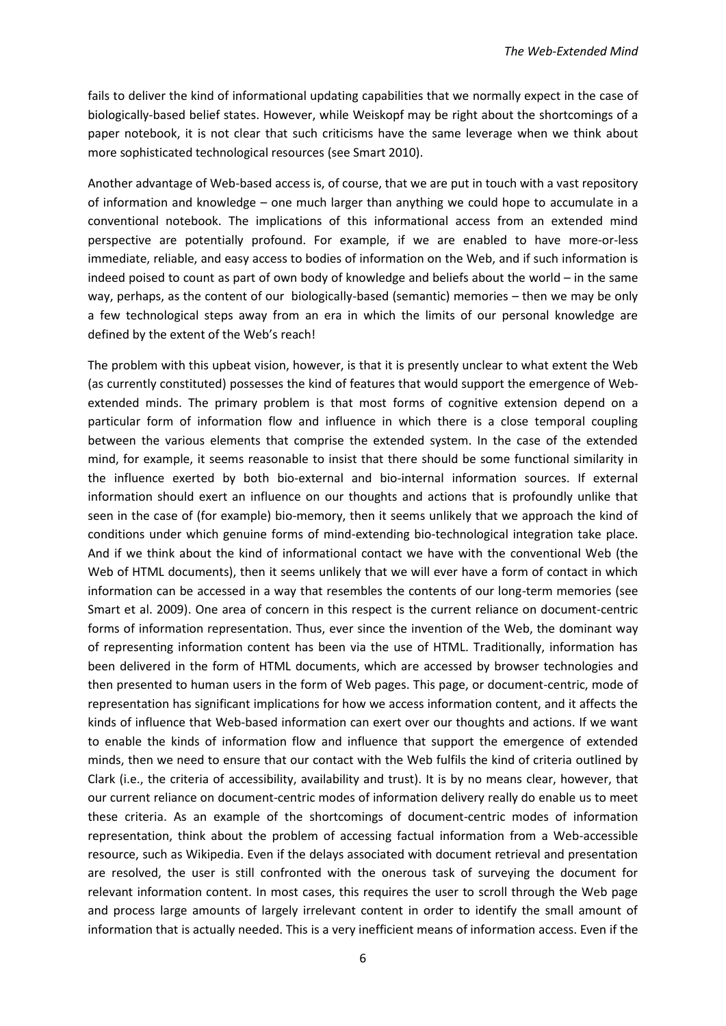fails to deliver the kind of informational updating capabilities that we normally expect in the case of biologically-based belief states. However, while Weiskopf may be right about the shortcomings of a paper notebook, it is not clear that such criticisms have the same leverage when we think about more sophisticated technological resources (see Smart 2010).

Another advantage of Web-based access is, of course, that we are put in touch with a vast repository of information and knowledge – one much larger than anything we could hope to accumulate in a conventional notebook. The implications of this informational access from an extended mind perspective are potentially profound. For example, if we are enabled to have more-or-less immediate, reliable, and easy access to bodies of information on the Web, and if such information is indeed poised to count as part of own body of knowledge and beliefs about the world – in the same way, perhaps, as the content of our biologically-based (semantic) memories – then we may be only a few technological steps away from an era in which the limits of our personal knowledge are defined by the extent of the Web's reach!

The problem with this upbeat vision, however, is that it is presently unclear to what extent the Web (as currently constituted) possesses the kind of features that would support the emergence of Webextended minds. The primary problem is that most forms of cognitive extension depend on a particular form of information flow and influence in which there is a close temporal coupling between the various elements that comprise the extended system. In the case of the extended mind, for example, it seems reasonable to insist that there should be some functional similarity in the influence exerted by both bio-external and bio-internal information sources. If external information should exert an influence on our thoughts and actions that is profoundly unlike that seen in the case of (for example) bio-memory, then it seems unlikely that we approach the kind of conditions under which genuine forms of mind-extending bio-technological integration take place. And if we think about the kind of informational contact we have with the conventional Web (the Web of HTML documents), then it seems unlikely that we will ever have a form of contact in which information can be accessed in a way that resembles the contents of our long-term memories (see Smart et al. 2009). One area of concern in this respect is the current reliance on document-centric forms of information representation. Thus, ever since the invention of the Web, the dominant way of representing information content has been via the use of HTML. Traditionally, information has been delivered in the form of HTML documents, which are accessed by browser technologies and then presented to human users in the form of Web pages. This page, or document-centric, mode of representation has significant implications for how we access information content, and it affects the kinds of influence that Web-based information can exert over our thoughts and actions. If we want to enable the kinds of information flow and influence that support the emergence of extended minds, then we need to ensure that our contact with the Web fulfils the kind of criteria outlined by Clark (i.e., the criteria of accessibility, availability and trust). It is by no means clear, however, that our current reliance on document-centric modes of information delivery really do enable us to meet these criteria. As an example of the shortcomings of document-centric modes of information representation, think about the problem of accessing factual information from a Web-accessible resource, such as Wikipedia. Even if the delays associated with document retrieval and presentation are resolved, the user is still confronted with the onerous task of surveying the document for relevant information content. In most cases, this requires the user to scroll through the Web page and process large amounts of largely irrelevant content in order to identify the small amount of information that is actually needed. This is a very inefficient means of information access. Even if the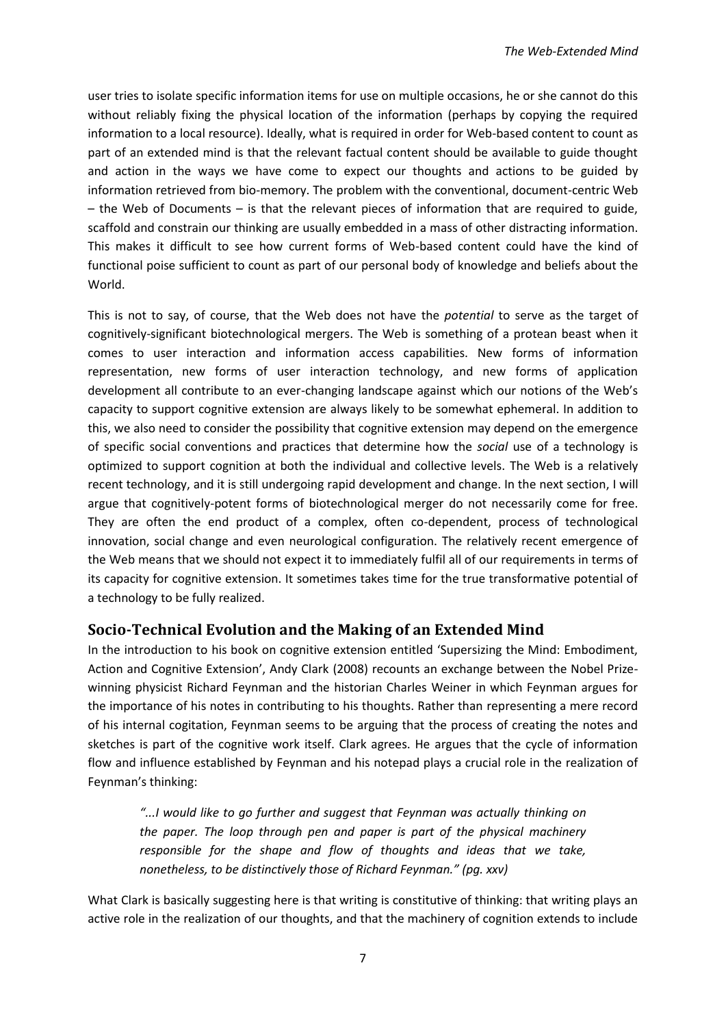user tries to isolate specific information items for use on multiple occasions, he or she cannot do this without reliably fixing the physical location of the information (perhaps by copying the required information to a local resource). Ideally, what is required in order for Web-based content to count as part of an extended mind is that the relevant factual content should be available to guide thought and action in the ways we have come to expect our thoughts and actions to be guided by information retrieved from bio-memory. The problem with the conventional, document-centric Web  $-$  the Web of Documents  $-$  is that the relevant pieces of information that are required to guide, scaffold and constrain our thinking are usually embedded in a mass of other distracting information. This makes it difficult to see how current forms of Web-based content could have the kind of functional poise sufficient to count as part of our personal body of knowledge and beliefs about the World.

This is not to say, of course, that the Web does not have the *potential* to serve as the target of cognitively-significant biotechnological mergers. The Web is something of a protean beast when it comes to user interaction and information access capabilities. New forms of information representation, new forms of user interaction technology, and new forms of application development all contribute to an ever-changing landscape against which our notions of the Web's capacity to support cognitive extension are always likely to be somewhat ephemeral. In addition to this, we also need to consider the possibility that cognitive extension may depend on the emergence of specific social conventions and practices that determine how the *social* use of a technology is optimized to support cognition at both the individual and collective levels. The Web is a relatively recent technology, and it is still undergoing rapid development and change. In the next section, I will argue that cognitively-potent forms of biotechnological merger do not necessarily come for free. They are often the end product of a complex, often co-dependent, process of technological innovation, social change and even neurological configuration. The relatively recent emergence of the Web means that we should not expect it to immediately fulfil all of our requirements in terms of its capacity for cognitive extension. It sometimes takes time for the true transformative potential of a technology to be fully realized.

## **Socio-Technical Evolution and the Making of an Extended Mind**

In the introduction to his book on cognitive extension entitled 'Supersizing the Mind: Embodiment, Action and Cognitive Extension', Andy Clark (2008) recounts an exchange between the Nobel Prizewinning physicist Richard Feynman and the historian Charles Weiner in which Feynman argues for the importance of his notes in contributing to his thoughts. Rather than representing a mere record of his internal cogitation, Feynman seems to be arguing that the process of creating the notes and sketches is part of the cognitive work itself. Clark agrees. He argues that the cycle of information flow and influence established by Feynman and his notepad plays a crucial role in the realization of Feynman's thinking:

*"...I would like to go further and suggest that Feynman was actually thinking on the paper. The loop through pen and paper is part of the physical machinery responsible for the shape and flow of thoughts and ideas that we take, nonetheless, to be distinctively those of Richard Feynman." (pg. xxv)*

What Clark is basically suggesting here is that writing is constitutive of thinking: that writing plays an active role in the realization of our thoughts, and that the machinery of cognition extends to include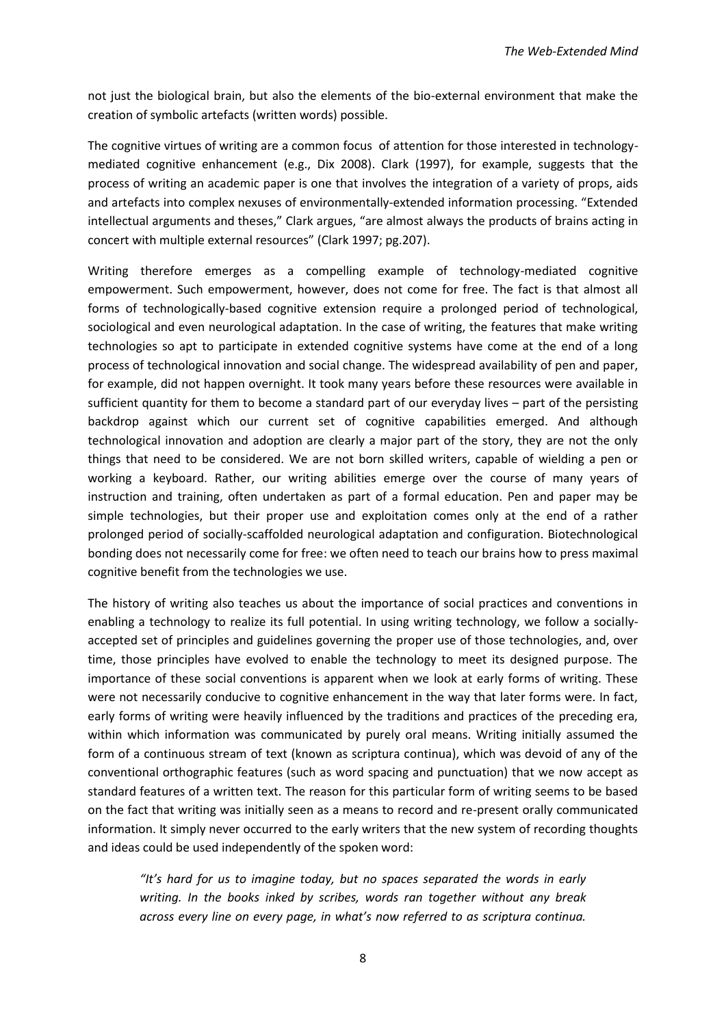not just the biological brain, but also the elements of the bio-external environment that make the creation of symbolic artefacts (written words) possible.

The cognitive virtues of writing are a common focus of attention for those interested in technologymediated cognitive enhancement (e.g., Dix 2008). Clark (1997), for example, suggests that the process of writing an academic paper is one that involves the integration of a variety of props, aids and artefacts into complex nexuses of environmentally-extended information processing. "Extended intellectual arguments and theses," Clark argues, "are almost always the products of brains acting in concert with multiple external resources" (Clark 1997; pg.207).

Writing therefore emerges as a compelling example of technology-mediated cognitive empowerment. Such empowerment, however, does not come for free. The fact is that almost all forms of technologically-based cognitive extension require a prolonged period of technological, sociological and even neurological adaptation. In the case of writing, the features that make writing technologies so apt to participate in extended cognitive systems have come at the end of a long process of technological innovation and social change. The widespread availability of pen and paper, for example, did not happen overnight. It took many years before these resources were available in sufficient quantity for them to become a standard part of our everyday lives – part of the persisting backdrop against which our current set of cognitive capabilities emerged. And although technological innovation and adoption are clearly a major part of the story, they are not the only things that need to be considered. We are not born skilled writers, capable of wielding a pen or working a keyboard. Rather, our writing abilities emerge over the course of many years of instruction and training, often undertaken as part of a formal education. Pen and paper may be simple technologies, but their proper use and exploitation comes only at the end of a rather prolonged period of socially-scaffolded neurological adaptation and configuration. Biotechnological bonding does not necessarily come for free: we often need to teach our brains how to press maximal cognitive benefit from the technologies we use.

The history of writing also teaches us about the importance of social practices and conventions in enabling a technology to realize its full potential. In using writing technology, we follow a sociallyaccepted set of principles and guidelines governing the proper use of those technologies, and, over time, those principles have evolved to enable the technology to meet its designed purpose. The importance of these social conventions is apparent when we look at early forms of writing. These were not necessarily conducive to cognitive enhancement in the way that later forms were. In fact, early forms of writing were heavily influenced by the traditions and practices of the preceding era, within which information was communicated by purely oral means. Writing initially assumed the form of a continuous stream of text (known as scriptura continua), which was devoid of any of the conventional orthographic features (such as word spacing and punctuation) that we now accept as standard features of a written text. The reason for this particular form of writing seems to be based on the fact that writing was initially seen as a means to record and re-present orally communicated information. It simply never occurred to the early writers that the new system of recording thoughts and ideas could be used independently of the spoken word:

*"It's hard for us to imagine today, but no spaces separated the words in early writing. In the books inked by scribes, words ran together without any break across every line on every page, in what's now referred to as scriptura continua.*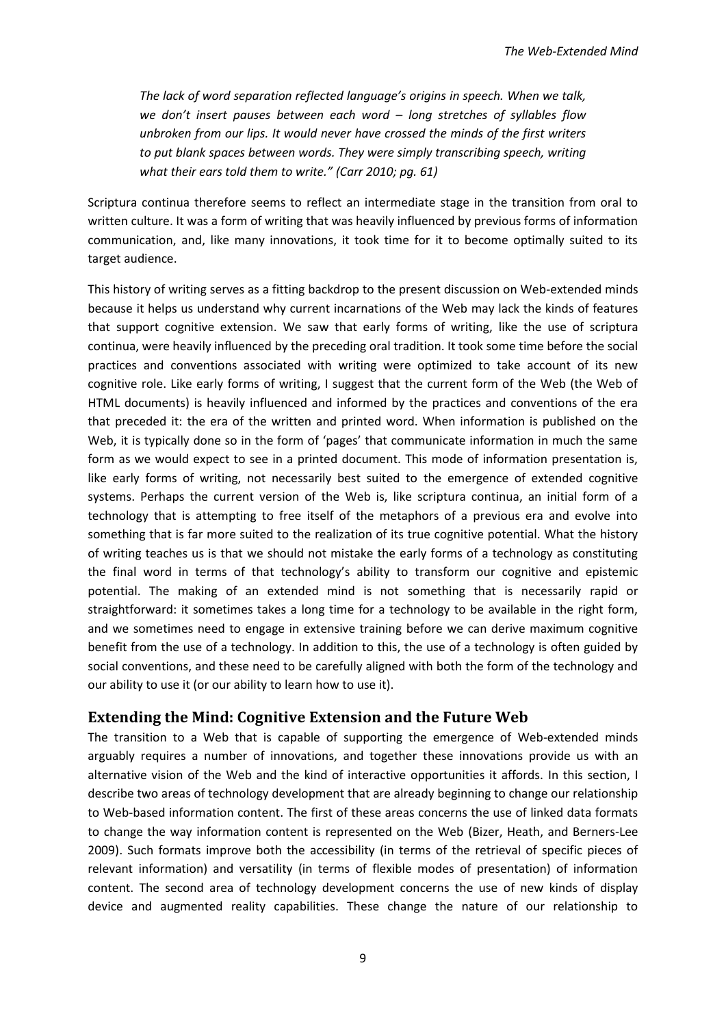*The lack of word separation reflected language's origins in speech. When we talk, we don't insert pauses between each word – long stretches of syllables flow unbroken from our lips. It would never have crossed the minds of the first writers*  to put blank spaces between words. They were simply transcribing speech, writing *what their ears told them to write." (Carr 2010; pg. 61)*

Scriptura continua therefore seems to reflect an intermediate stage in the transition from oral to written culture. It was a form of writing that was heavily influenced by previous forms of information communication, and, like many innovations, it took time for it to become optimally suited to its target audience.

This history of writing serves as a fitting backdrop to the present discussion on Web-extended minds because it helps us understand why current incarnations of the Web may lack the kinds of features that support cognitive extension. We saw that early forms of writing, like the use of scriptura continua, were heavily influenced by the preceding oral tradition. It took some time before the social practices and conventions associated with writing were optimized to take account of its new cognitive role. Like early forms of writing, I suggest that the current form of the Web (the Web of HTML documents) is heavily influenced and informed by the practices and conventions of the era that preceded it: the era of the written and printed word. When information is published on the Web, it is typically done so in the form of 'pages' that communicate information in much the same form as we would expect to see in a printed document. This mode of information presentation is, like early forms of writing, not necessarily best suited to the emergence of extended cognitive systems. Perhaps the current version of the Web is, like scriptura continua, an initial form of a technology that is attempting to free itself of the metaphors of a previous era and evolve into something that is far more suited to the realization of its true cognitive potential. What the history of writing teaches us is that we should not mistake the early forms of a technology as constituting the final word in terms of that technology's ability to transform our cognitive and epistemic potential. The making of an extended mind is not something that is necessarily rapid or straightforward: it sometimes takes a long time for a technology to be available in the right form, and we sometimes need to engage in extensive training before we can derive maximum cognitive benefit from the use of a technology. In addition to this, the use of a technology is often guided by social conventions, and these need to be carefully aligned with both the form of the technology and our ability to use it (or our ability to learn how to use it).

### **Extending the Mind: Cognitive Extension and the Future Web**

The transition to a Web that is capable of supporting the emergence of Web-extended minds arguably requires a number of innovations, and together these innovations provide us with an alternative vision of the Web and the kind of interactive opportunities it affords. In this section, I describe two areas of technology development that are already beginning to change our relationship to Web-based information content. The first of these areas concerns the use of linked data formats to change the way information content is represented on the Web (Bizer, Heath, and Berners-Lee 2009). Such formats improve both the accessibility (in terms of the retrieval of specific pieces of relevant information) and versatility (in terms of flexible modes of presentation) of information content. The second area of technology development concerns the use of new kinds of display device and augmented reality capabilities. These change the nature of our relationship to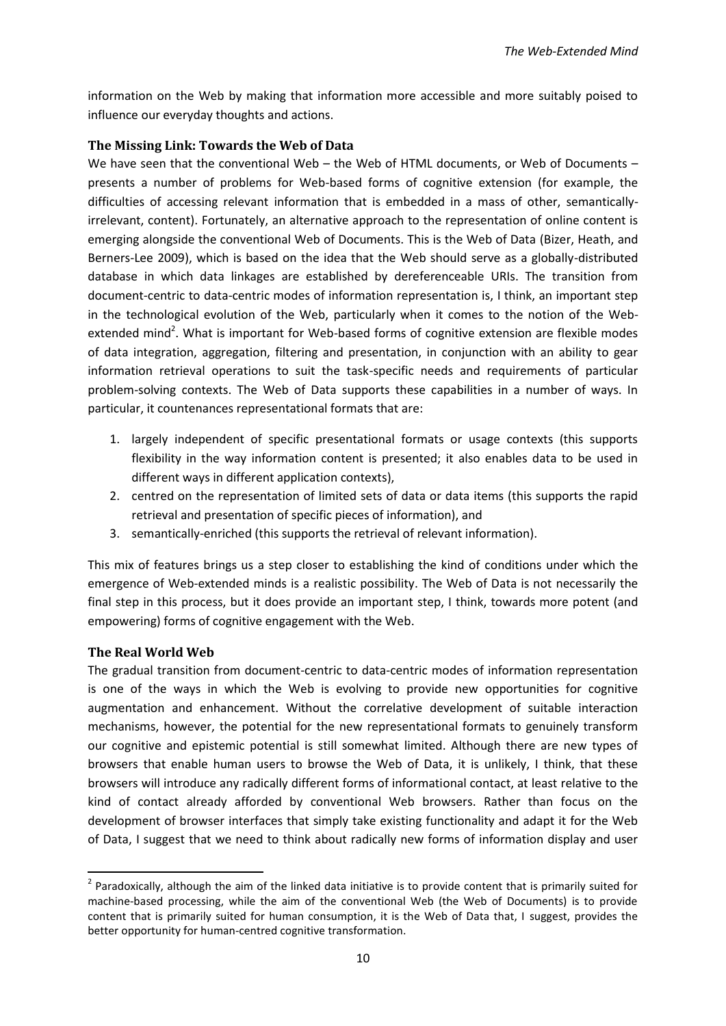information on the Web by making that information more accessible and more suitably poised to influence our everyday thoughts and actions.

### **The Missing Link: Towards the Web of Data**

We have seen that the conventional Web – the Web of HTML documents, or Web of Documents – presents a number of problems for Web-based forms of cognitive extension (for example, the difficulties of accessing relevant information that is embedded in a mass of other, semanticallyirrelevant, content). Fortunately, an alternative approach to the representation of online content is emerging alongside the conventional Web of Documents. This is the Web of Data (Bizer, Heath, and Berners-Lee 2009), which is based on the idea that the Web should serve as a globally-distributed database in which data linkages are established by dereferenceable URIs. The transition from document-centric to data-centric modes of information representation is, I think, an important step in the technological evolution of the Web, particularly when it comes to the notion of the Webextended mind<sup>2</sup>. What is important for Web-based forms of cognitive extension are flexible modes of data integration, aggregation, filtering and presentation, in conjunction with an ability to gear information retrieval operations to suit the task-specific needs and requirements of particular problem-solving contexts. The Web of Data supports these capabilities in a number of ways. In particular, it countenances representational formats that are:

- 1. largely independent of specific presentational formats or usage contexts (this supports flexibility in the way information content is presented; it also enables data to be used in different ways in different application contexts),
- 2. centred on the representation of limited sets of data or data items (this supports the rapid retrieval and presentation of specific pieces of information), and
- 3. semantically-enriched (this supports the retrieval of relevant information).

This mix of features brings us a step closer to establishing the kind of conditions under which the emergence of Web-extended minds is a realistic possibility. The Web of Data is not necessarily the final step in this process, but it does provide an important step, I think, towards more potent (and empowering) forms of cognitive engagement with the Web.

### **The Real World Web**

**.** 

The gradual transition from document-centric to data-centric modes of information representation is one of the ways in which the Web is evolving to provide new opportunities for cognitive augmentation and enhancement. Without the correlative development of suitable interaction mechanisms, however, the potential for the new representational formats to genuinely transform our cognitive and epistemic potential is still somewhat limited. Although there are new types of browsers that enable human users to browse the Web of Data, it is unlikely, I think, that these browsers will introduce any radically different forms of informational contact, at least relative to the kind of contact already afforded by conventional Web browsers. Rather than focus on the development of browser interfaces that simply take existing functionality and adapt it for the Web of Data, I suggest that we need to think about radically new forms of information display and user

 $2$  Paradoxically, although the aim of the linked data initiative is to provide content that is primarily suited for machine-based processing, while the aim of the conventional Web (the Web of Documents) is to provide content that is primarily suited for human consumption, it is the Web of Data that, I suggest, provides the better opportunity for human-centred cognitive transformation.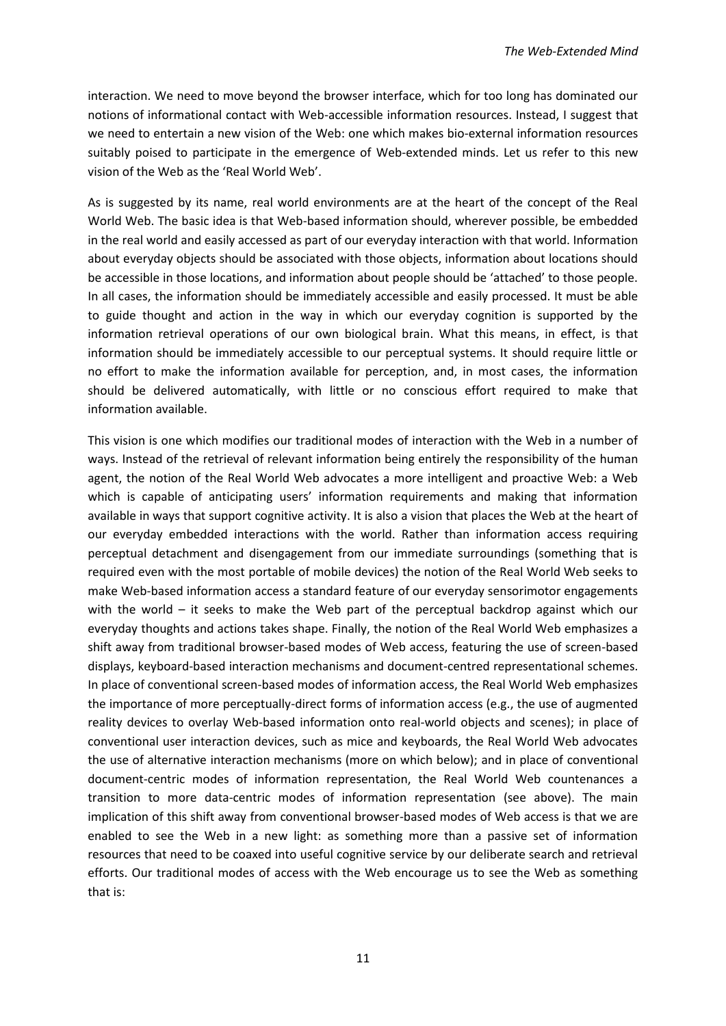interaction. We need to move beyond the browser interface, which for too long has dominated our notions of informational contact with Web-accessible information resources. Instead, I suggest that we need to entertain a new vision of the Web: one which makes bio-external information resources suitably poised to participate in the emergence of Web-extended minds. Let us refer to this new vision of the Web as the 'Real World Web'.

As is suggested by its name, real world environments are at the heart of the concept of the Real World Web. The basic idea is that Web-based information should, wherever possible, be embedded in the real world and easily accessed as part of our everyday interaction with that world. Information about everyday objects should be associated with those objects, information about locations should be accessible in those locations, and information about people should be 'attached' to those people. In all cases, the information should be immediately accessible and easily processed. It must be able to guide thought and action in the way in which our everyday cognition is supported by the information retrieval operations of our own biological brain. What this means, in effect, is that information should be immediately accessible to our perceptual systems. It should require little or no effort to make the information available for perception, and, in most cases, the information should be delivered automatically, with little or no conscious effort required to make that information available.

This vision is one which modifies our traditional modes of interaction with the Web in a number of ways. Instead of the retrieval of relevant information being entirely the responsibility of the human agent, the notion of the Real World Web advocates a more intelligent and proactive Web: a Web which is capable of anticipating users' information requirements and making that information available in ways that support cognitive activity. It is also a vision that places the Web at the heart of our everyday embedded interactions with the world. Rather than information access requiring perceptual detachment and disengagement from our immediate surroundings (something that is required even with the most portable of mobile devices) the notion of the Real World Web seeks to make Web-based information access a standard feature of our everyday sensorimotor engagements with the world – it seeks to make the Web part of the perceptual backdrop against which our everyday thoughts and actions takes shape. Finally, the notion of the Real World Web emphasizes a shift away from traditional browser-based modes of Web access, featuring the use of screen-based displays, keyboard-based interaction mechanisms and document-centred representational schemes. In place of conventional screen-based modes of information access, the Real World Web emphasizes the importance of more perceptually-direct forms of information access (e.g., the use of augmented reality devices to overlay Web-based information onto real-world objects and scenes); in place of conventional user interaction devices, such as mice and keyboards, the Real World Web advocates the use of alternative interaction mechanisms (more on which below); and in place of conventional document-centric modes of information representation, the Real World Web countenances a transition to more data-centric modes of information representation (see above). The main implication of this shift away from conventional browser-based modes of Web access is that we are enabled to see the Web in a new light: as something more than a passive set of information resources that need to be coaxed into useful cognitive service by our deliberate search and retrieval efforts. Our traditional modes of access with the Web encourage us to see the Web as something that is: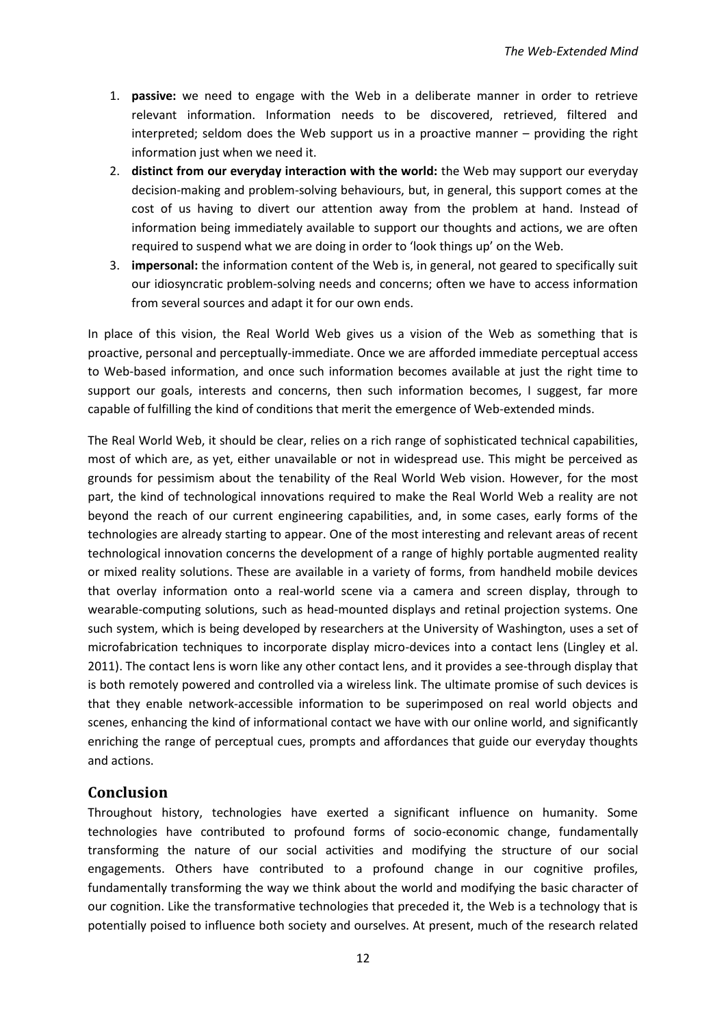- 1. **passive:** we need to engage with the Web in a deliberate manner in order to retrieve relevant information. Information needs to be discovered, retrieved, filtered and interpreted; seldom does the Web support us in a proactive manner – providing the right information just when we need it.
- 2. **distinct from our everyday interaction with the world:** the Web may support our everyday decision-making and problem-solving behaviours, but, in general, this support comes at the cost of us having to divert our attention away from the problem at hand. Instead of information being immediately available to support our thoughts and actions, we are often required to suspend what we are doing in order to 'look things up' on the Web.
- 3. **impersonal:** the information content of the Web is, in general, not geared to specifically suit our idiosyncratic problem-solving needs and concerns; often we have to access information from several sources and adapt it for our own ends.

In place of this vision, the Real World Web gives us a vision of the Web as something that is proactive, personal and perceptually-immediate. Once we are afforded immediate perceptual access to Web-based information, and once such information becomes available at just the right time to support our goals, interests and concerns, then such information becomes, I suggest, far more capable of fulfilling the kind of conditions that merit the emergence of Web-extended minds.

The Real World Web, it should be clear, relies on a rich range of sophisticated technical capabilities, most of which are, as yet, either unavailable or not in widespread use. This might be perceived as grounds for pessimism about the tenability of the Real World Web vision. However, for the most part, the kind of technological innovations required to make the Real World Web a reality are not beyond the reach of our current engineering capabilities, and, in some cases, early forms of the technologies are already starting to appear. One of the most interesting and relevant areas of recent technological innovation concerns the development of a range of highly portable augmented reality or mixed reality solutions. These are available in a variety of forms, from handheld mobile devices that overlay information onto a real-world scene via a camera and screen display, through to wearable-computing solutions, such as head-mounted displays and retinal projection systems. One such system, which is being developed by researchers at the University of Washington, uses a set of microfabrication techniques to incorporate display micro-devices into a contact lens (Lingley et al. 2011). The contact lens is worn like any other contact lens, and it provides a see-through display that is both remotely powered and controlled via a wireless link. The ultimate promise of such devices is that they enable network-accessible information to be superimposed on real world objects and scenes, enhancing the kind of informational contact we have with our online world, and significantly enriching the range of perceptual cues, prompts and affordances that guide our everyday thoughts and actions.

### **Conclusion**

Throughout history, technologies have exerted a significant influence on humanity. Some technologies have contributed to profound forms of socio-economic change, fundamentally transforming the nature of our social activities and modifying the structure of our social engagements. Others have contributed to a profound change in our cognitive profiles, fundamentally transforming the way we think about the world and modifying the basic character of our cognition. Like the transformative technologies that preceded it, the Web is a technology that is potentially poised to influence both society and ourselves. At present, much of the research related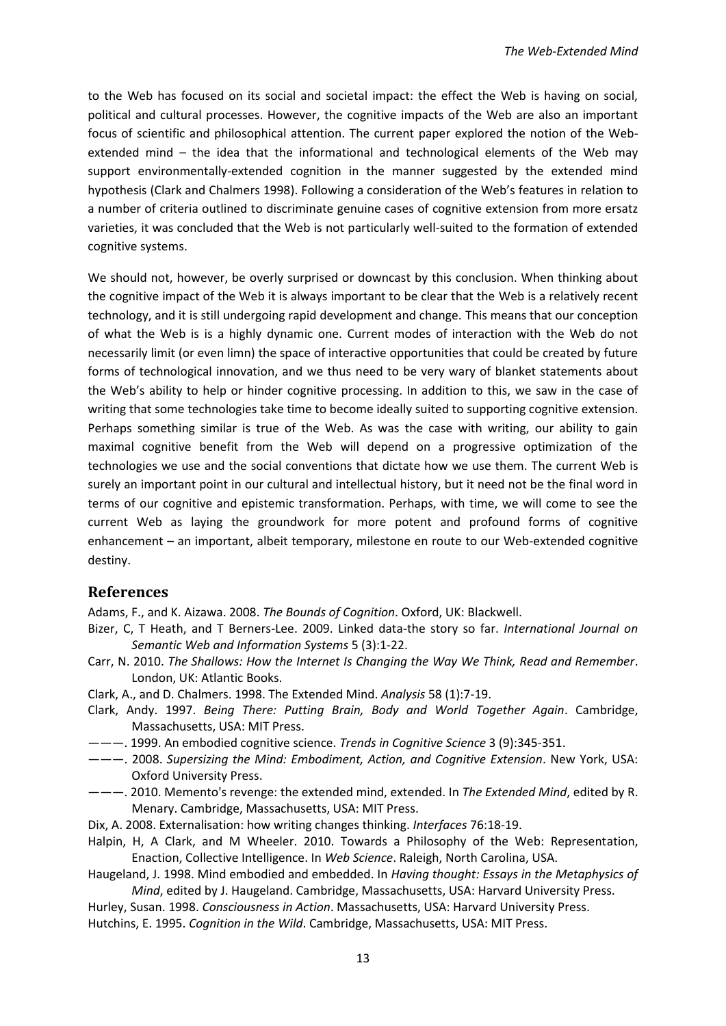to the Web has focused on its social and societal impact: the effect the Web is having on social, political and cultural processes. However, the cognitive impacts of the Web are also an important focus of scientific and philosophical attention. The current paper explored the notion of the Webextended mind – the idea that the informational and technological elements of the Web may support environmentally-extended cognition in the manner suggested by the extended mind hypothesis (Clark and Chalmers 1998). Following a consideration of the Web's features in relation to a number of criteria outlined to discriminate genuine cases of cognitive extension from more ersatz varieties, it was concluded that the Web is not particularly well-suited to the formation of extended cognitive systems.

We should not, however, be overly surprised or downcast by this conclusion. When thinking about the cognitive impact of the Web it is always important to be clear that the Web is a relatively recent technology, and it is still undergoing rapid development and change. This means that our conception of what the Web is is a highly dynamic one. Current modes of interaction with the Web do not necessarily limit (or even limn) the space of interactive opportunities that could be created by future forms of technological innovation, and we thus need to be very wary of blanket statements about the Web's ability to help or hinder cognitive processing. In addition to this, we saw in the case of writing that some technologies take time to become ideally suited to supporting cognitive extension. Perhaps something similar is true of the Web. As was the case with writing, our ability to gain maximal cognitive benefit from the Web will depend on a progressive optimization of the technologies we use and the social conventions that dictate how we use them. The current Web is surely an important point in our cultural and intellectual history, but it need not be the final word in terms of our cognitive and epistemic transformation. Perhaps, with time, we will come to see the current Web as laying the groundwork for more potent and profound forms of cognitive enhancement – an important, albeit temporary, milestone en route to our Web-extended cognitive destiny.

### **References**

Adams, F., and K. Aizawa. 2008. *The Bounds of Cognition*. Oxford, UK: Blackwell.

- Bizer, C, T Heath, and T Berners-Lee. 2009. Linked data-the story so far. *International Journal on Semantic Web and Information Systems* 5 (3):1-22.
- Carr, N. 2010. *The Shallows: How the Internet Is Changing the Way We Think, Read and Remember*. London, UK: Atlantic Books.
- Clark, A., and D. Chalmers. 1998. The Extended Mind. *Analysis* 58 (1):7-19.
- Clark, Andy. 1997. *Being There: Putting Brain, Body and World Together Again*. Cambridge, Massachusetts, USA: MIT Press.
- ———. 1999. An embodied cognitive science. *Trends in Cognitive Science* 3 (9):345-351.
- ———. 2008. *Supersizing the Mind: Embodiment, Action, and Cognitive Extension*. New York, USA: Oxford University Press.
- ———. 2010. Memento's revenge: the extended mind, extended. In *The Extended Mind*, edited by R. Menary. Cambridge, Massachusetts, USA: MIT Press.
- Dix, A. 2008. Externalisation: how writing changes thinking. *Interfaces* 76:18-19.
- Halpin, H, A Clark, and M Wheeler. 2010. Towards a Philosophy of the Web: Representation, Enaction, Collective Intelligence. In *Web Science*. Raleigh, North Carolina, USA.
- Haugeland, J. 1998. Mind embodied and embedded. In *Having thought: Essays in the Metaphysics of Mind*, edited by J. Haugeland. Cambridge, Massachusetts, USA: Harvard University Press.
- Hurley, Susan. 1998. *Consciousness in Action*. Massachusetts, USA: Harvard University Press. Hutchins, E. 1995. *Cognition in the Wild*. Cambridge, Massachusetts, USA: MIT Press.